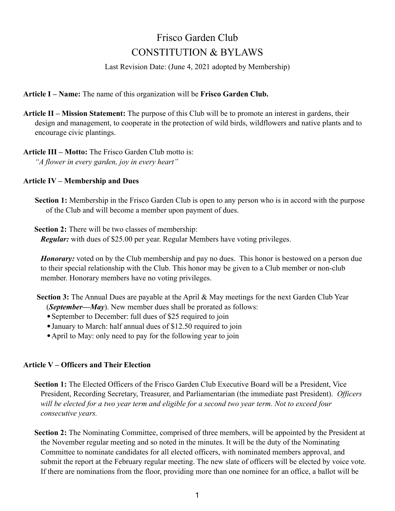# Frisco Garden Club CONSTITUTION & BYLAWS

Last Revision Date: (June 4, 2021 adopted by Membership)

**Article I – Name:** The name of this organization will be **Frisco Garden Club.**

**Article II – Mission Statement:** The purpose of this Club will be to promote an interest in gardens, their design and management, to cooperate in the protection of wild birds, wildflowers and native plants and to encourage civic plantings.

**Article III – Motto:** The Frisco Garden Club motto is: *"A flower in every garden, joy in every heart"*

#### **Article IV – Membership and Dues**

**Section 1:** Membership in the Frisco Garden Club is open to any person who is in accord with the purpose of the Club and will become a member upon payment of dues.

**Section 2:** There will be two classes of membership: *Regular:* with dues of \$25.00 per year. Regular Members have voting privileges.

*Honorary:* voted on by the Club membership and pay no dues. This honor is bestowed on a person due to their special relationship with the Club. This honor may be given to a Club member or non-club member. Honorary members have no voting privileges.

**Section 3:** The Annual Dues are payable at the April & May meetings for the next Garden Club Year (*September—May*). New member dues shall be prorated as follows:

- September to December: full dues of \$25 required to join
- •January to March: half annual dues of \$12.50 required to join

• April to May: only need to pay for the following year to join

## **Article V – Officers and Their Election**

**Section 1:** The Elected Officers of the Frisco Garden Club Executive Board will be a President, Vice President, Recording Secretary, Treasurer, and Parliamentarian (the immediate past President). *Officers will be elected for a two year term and eligible for a second two year term. Not to exceed four consecutive years.*

Section 2: The Nominating Committee, comprised of three members, will be appointed by the President at the November regular meeting and so noted in the minutes. It will be the duty of the Nominating Committee to nominate candidates for all elected officers, with nominated members approval, and submit the report at the February regular meeting. The new slate of officers will be elected by voice vote. If there are nominations from the floor, providing more than one nominee for an office, a ballot will be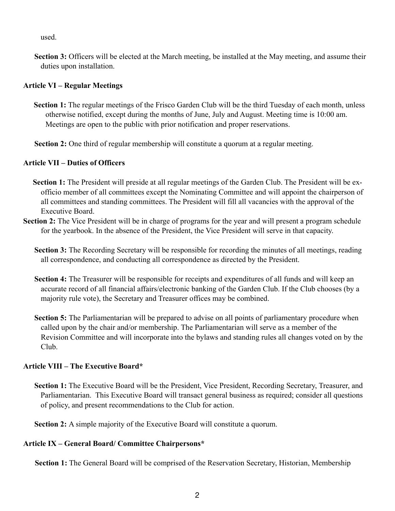used.

**Section 3:** Officers will be elected at the March meeting, be installed at the May meeting, and assume their duties upon installation.

## **Article VI – Regular Meetings**

- **Section 1:** The regular meetings of the Frisco Garden Club will be the third Tuesday of each month, unless otherwise notified, except during the months of June, July and August. Meeting time is 10:00 am. Meetings are open to the public with prior notification and proper reservations.
- **Section 2:** One third of regular membership will constitute a quorum at a regular meeting.

# **Article VII – Duties of Officers**

- **Section 1:** The President will preside at all regular meetings of the Garden Club. The President will be exofficio member of all committees except the Nominating Committee and will appoint the chairperson of all committees and standing committees. The President will fill all vacancies with the approval of the Executive Board.
- **Section 2:** The Vice President will be in charge of programs for the year and will present a program schedule for the yearbook. In the absence of the President, the Vice President will serve in that capacity.
	- **Section 3:** The Recording Secretary will be responsible for recording the minutes of all meetings, reading all correspondence, and conducting all correspondence as directed by the President.
	- **Section 4:** The Treasurer will be responsible for receipts and expenditures of all funds and will keep an accurate record of all financial affairs/electronic banking of the Garden Club. If the Club chooses (by a majority rule vote), the Secretary and Treasurer offices may be combined.
	- **Section 5:** The Parliamentarian will be prepared to advise on all points of parliamentary procedure when called upon by the chair and/or membership. The Parliamentarian will serve as a member of the Revision Committee and will incorporate into the bylaws and standing rules all changes voted on by the Club.

## **Article VIII – The Executive Board\***

**Section 1:** The Executive Board will be the President, Vice President, Recording Secretary, Treasurer, and Parliamentarian. This Executive Board will transact general business as required; consider all questions of policy, and present recommendations to the Club for action.

**Section 2:** A simple majority of the Executive Board will constitute a quorum.

# **Article IX – General Board/ Committee Chairpersons\***

**Section 1:** The General Board will be comprised of the Reservation Secretary, Historian, Membership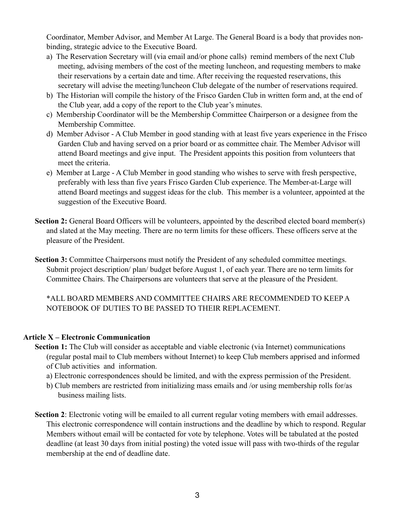Coordinator, Member Advisor, and Member At Large. The General Board is a body that provides nonbinding, strategic advice to the Executive Board.

- a) The Reservation Secretary will (via email and/or phone calls) remind members of the next Club meeting, advising members of the cost of the meeting luncheon, and requesting members to make their reservations by a certain date and time. After receiving the requested reservations, this secretary will advise the meeting/luncheon Club delegate of the number of reservations required.
- b) The Historian will compile the history of the Frisco Garden Club in written form and, at the end of the Club year, add a copy of the report to the Club year's minutes.
- c) Membership Coordinator will be the Membership Committee Chairperson or a designee from the Membership Committee.
- d) Member Advisor A Club Member in good standing with at least five years experience in the Frisco Garden Club and having served on a prior board or as committee chair. The Member Advisor will attend Board meetings and give input. The President appoints this position from volunteers that meet the criteria.
- e) Member at Large A Club Member in good standing who wishes to serve with fresh perspective, preferably with less than five years Frisco Garden Club experience. The Member-at-Large will attend Board meetings and suggest ideas for the club. This member is a volunteer, appointed at the suggestion of the Executive Board.
- **Section 2:** General Board Officers will be volunteers, appointed by the described elected board member(s) and slated at the May meeting. There are no term limits for these officers. These officers serve at the pleasure of the President.
- **Section 3:** Committee Chairpersons must notify the President of any scheduled committee meetings. Submit project description/ plan/ budget before August 1, of each year. There are no term limits for Committee Chairs. The Chairpersons are volunteers that serve at the pleasure of the President.

\*ALL BOARD MEMBERS AND COMMITTEE CHAIRS ARE RECOMMENDED TO KEEP A NOTEBOOK OF DUTIES TO BE PASSED TO THEIR REPLACEMENT.

## **Article X – Electronic Communication**

- **Section 1:** The Club will consider as acceptable and viable electronic (via Internet) communications (regular postal mail to Club members without Internet) to keep Club members apprised and informed of Club activities and information.
	- a) Electronic correspondences should be limited, and with the express permission of the President.
	- b) Club members are restricted from initializing mass emails and /or using membership rolls for/as business mailing lists.
- **Section 2**: Electronic voting will be emailed to all current regular voting members with email addresses. This electronic correspondence will contain instructions and the deadline by which to respond. Regular Members without email will be contacted for vote by telephone. Votes will be tabulated at the posted deadline (at least 30 days from initial posting) the voted issue will pass with two-thirds of the regular membership at the end of deadline date.